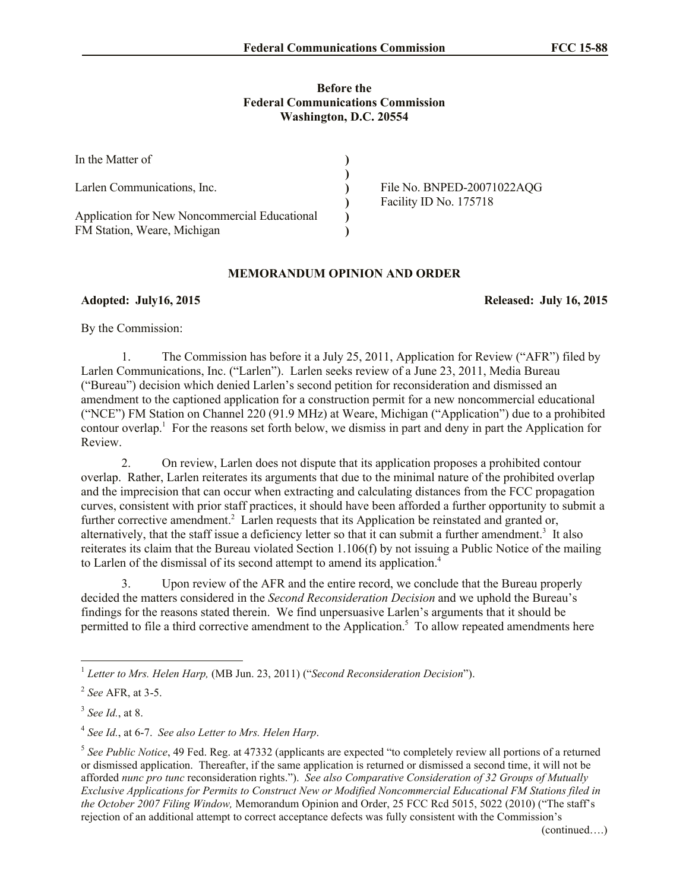## **Before the Federal Communications Commission Washington, D.C. 20554**

| In the Matter of                                                             |                                                      |
|------------------------------------------------------------------------------|------------------------------------------------------|
| Larlen Communications, Inc.                                                  | File No. BNPED-20071022AQG<br>Facility ID No. 175718 |
| Application for New Noncommercial Educational<br>FM Station, Weare, Michigan |                                                      |

## **MEMORANDUM OPINION AND ORDER**

**Adopted: July16, 2015 Released: July 16, 2015**

By the Commission:

1. The Commission has before it a July 25, 2011, Application for Review ("AFR") filed by Larlen Communications, Inc. ("Larlen"). Larlen seeks review of a June 23, 2011, Media Bureau ("Bureau") decision which denied Larlen's second petition for reconsideration and dismissed an amendment to the captioned application for a construction permit for a new noncommercial educational ("NCE") FM Station on Channel 220 (91.9 MHz) at Weare, Michigan ("Application") due to a prohibited contour overlap. 1 For the reasons set forth below, we dismiss in part and deny in part the Application for Review.

2. On review, Larlen does not dispute that its application proposes a prohibited contour overlap. Rather, Larlen reiterates its arguments that due to the minimal nature of the prohibited overlap and the imprecision that can occur when extracting and calculating distances from the FCC propagation curves, consistent with prior staff practices, it should have been afforded a further opportunity to submit a further corrective amendment.<sup>2</sup> Larlen requests that its Application be reinstated and granted or, alternatively, that the staff issue a deficiency letter so that it can submit a further amendment.<sup>3</sup> It also reiterates its claim that the Bureau violated Section 1.106(f) by not issuing a Public Notice of the mailing to Larlen of the dismissal of its second attempt to amend its application.<sup>4</sup>

3. Upon review of the AFR and the entire record, we conclude that the Bureau properly decided the matters considered in the *Second Reconsideration Decision* and we uphold the Bureau's findings for the reasons stated therein. We find unpersuasive Larlen's arguments that it should be permitted to file a third corrective amendment to the Application.<sup>5</sup> To allow repeated amendments here

l

<sup>1</sup> *Letter to Mrs. Helen Harp,* (MB Jun. 23, 2011) ("*Second Reconsideration Decision*").

<sup>2</sup> *See* AFR, at 3-5.

<sup>3</sup> *See Id.*, at 8.

<sup>4</sup> *See Id.*, at 6-7. *See also Letter to Mrs. Helen Harp*.

<sup>&</sup>lt;sup>5</sup> See Public Notice, 49 Fed. Reg. at 47332 (applicants are expected "to completely review all portions of a returned or dismissed application. Thereafter, if the same application is returned or dismissed a second time, it will not be afforded *nunc pro tunc* reconsideration rights."). *See also Comparative Consideration of 32 Groups of Mutually Exclusive Applications for Permits to Construct New or Modified Noncommercial Educational FM Stations filed in the October 2007 Filing Window,* Memorandum Opinion and Order, 25 FCC Rcd 5015, 5022 (2010) ("The staff's rejection of an additional attempt to correct acceptance defects was fully consistent with the Commission's